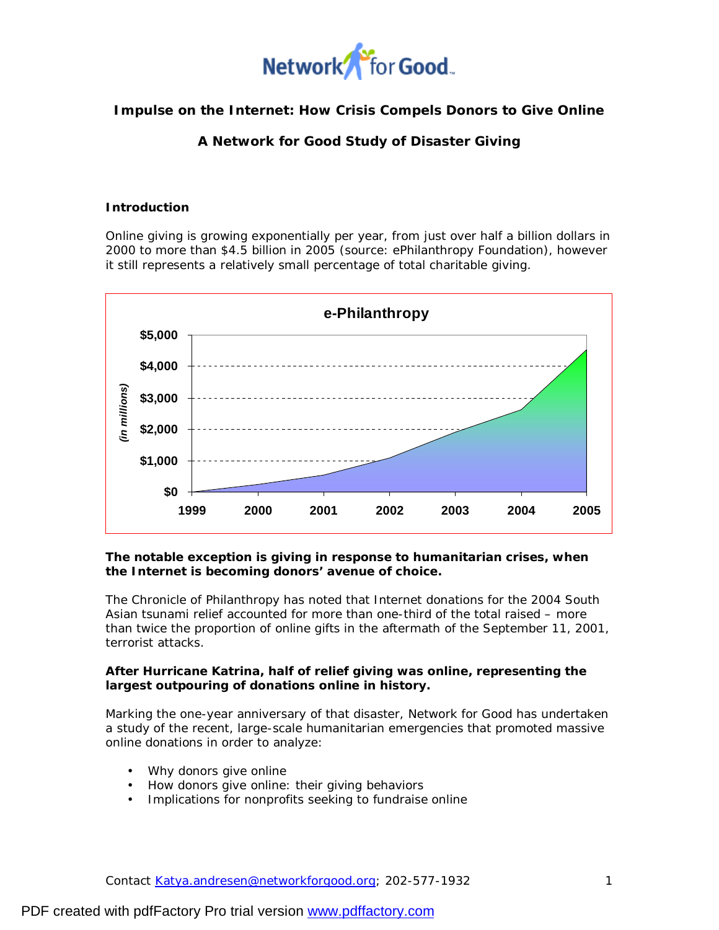

### **Impulse on the Internet: How Crisis Compels Donors to Give Online**

*A Network for Good Study of Disaster Giving* 

### **Introduction**

Online giving is growing exponentially per year, from just over half a billion dollars in 2000 to more than \$4.5 billion in 2005 (source: ePhilanthropy Foundation), however it still represents a relatively small percentage of total charitable giving.



**The notable exception is giving in response to humanitarian crises, when the Internet is becoming donors' avenue of choice.**

The Chronicle of Philanthropy has noted that Internet donations for the 2004 South Asian tsunami relief accounted for more than one-third of the total raised – more than twice the proportion of online gifts in the aftermath of the September 11, 2001, terrorist attacks.

**After Hurricane Katrina, half of relief giving was online, representing the largest outpouring of donations online in history.** 

Marking the one-year anniversary of that disaster, Network for Good has undertaken a study of the recent, large-scale humanitarian emergencies that promoted massive online donations in order to analyze:

- Why donors give online
- How donors give online: their giving behaviors
- Implications for nonprofits seeking to fundraise online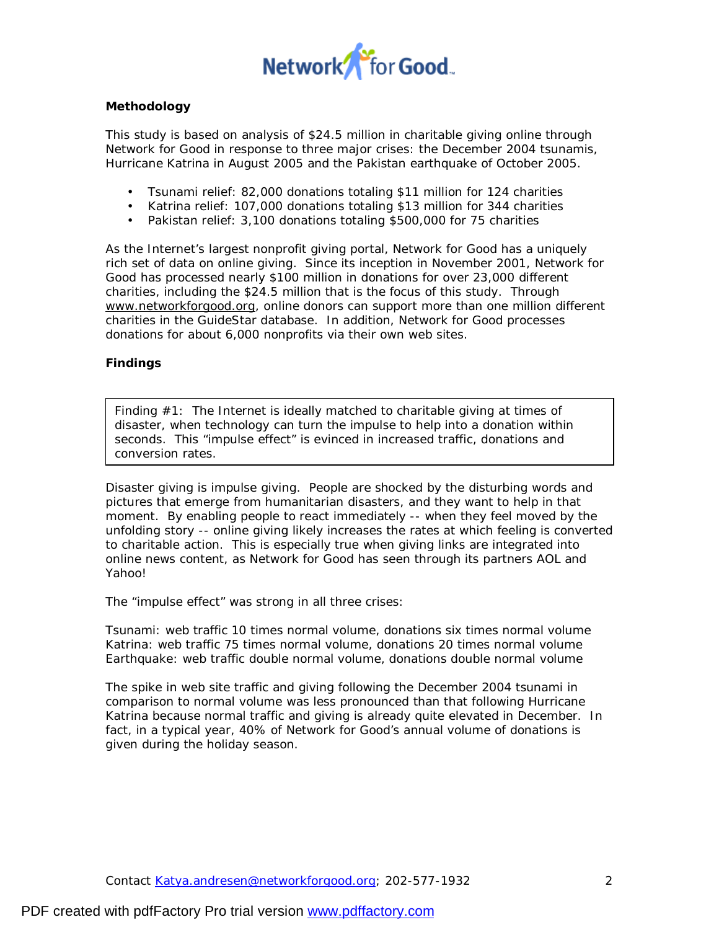

### **Methodology**

This study is based on analysis of \$24.5 million in charitable giving online through Network for Good in response to three major crises: the December 2004 tsunamis, Hurricane Katrina in August 2005 and the Pakistan earthquake of October 2005.

- Tsunami relief: 82,000 donations totaling \$11 million for 124 charities
- Katrina relief: 107,000 donations totaling \$13 million for 344 charities
- Pakistan relief: 3,100 donations totaling \$500,000 for 75 charities

As the Internet's largest nonprofit giving portal, Network for Good has a uniquely rich set of data on online giving. Since its inception in November 2001, Network for Good has processed nearly \$100 million in donations for over 23,000 different charities, including the \$24.5 million that is the focus of this study. Through [www.networkforgood.org](http://www.networkforgood.org), online donors can support more than one million different charities in the GuideStar database. In addition, Network for Good processes donations for about 6,000 nonprofits via their own web sites.

### **Findings**

Finding #1: The Internet is ideally matched to charitable giving at times of disaster, when technology can turn the impulse to help into a donation within seconds. This "impulse effect" is evinced in increased traffic, donations and conversion rates.

Disaster giving is impulse giving. People are shocked by the disturbing words and pictures that emerge from humanitarian disasters, and they want to help in that moment. By enabling people to react immediately -- when they feel moved by the unfolding story -- online giving likely increases the rates at which feeling is converted to charitable action. This is especially true when giving links are integrated into online news content, as Network for Good has seen through its partners AOL and Yahoo!

The "impulse effect" was strong in all three crises:

Tsunami: web traffic 10 times normal volume, donations six times normal volume Katrina: web traffic 75 times normal volume, donations 20 times normal volume Earthquake: web traffic double normal volume, donations double normal volume

The spike in web site traffic and giving following the December 2004 tsunami in comparison to normal volume was less pronounced than that following Hurricane Katrina because normal traffic and giving is already quite elevated in December. In fact, in a typical year, 40% of Network for Good's annual volume of donations is given during the holiday season.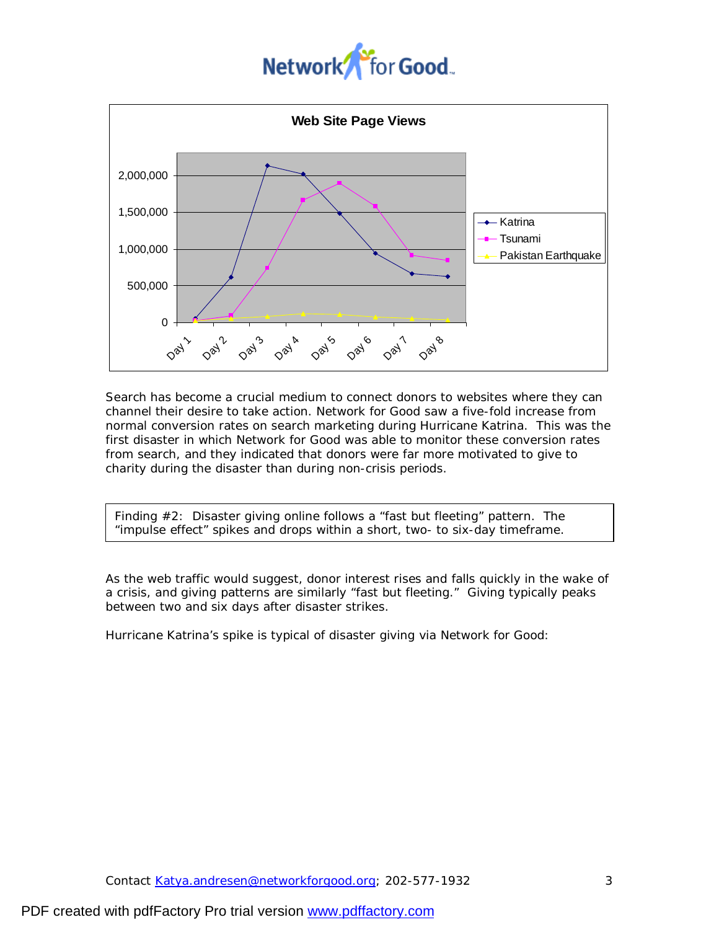# Network<sup>S</sup> for Good.



Search has become a crucial medium to connect donors to websites where they can channel their desire to take action. Network for Good saw a five-fold increase from normal conversion rates on search marketing during Hurricane Katrina. This was the first disaster in which Network for Good was able to monitor these conversion rates from search, and they indicated that donors were far more motivated to give to charity during the disaster than during non-crisis periods.

Finding #2: Disaster giving online follows a "fast but fleeting" pattern. The "impulse effect" spikes and drops within a short, two- to six-day timeframe.

As the web traffic would suggest, donor interest rises and falls quickly in the wake of a crisis, and giving patterns are similarly "fast but fleeting." Giving typically peaks between two and six days after disaster strikes.

Hurricane Katrina's spike is typical of disaster giving via Network for Good: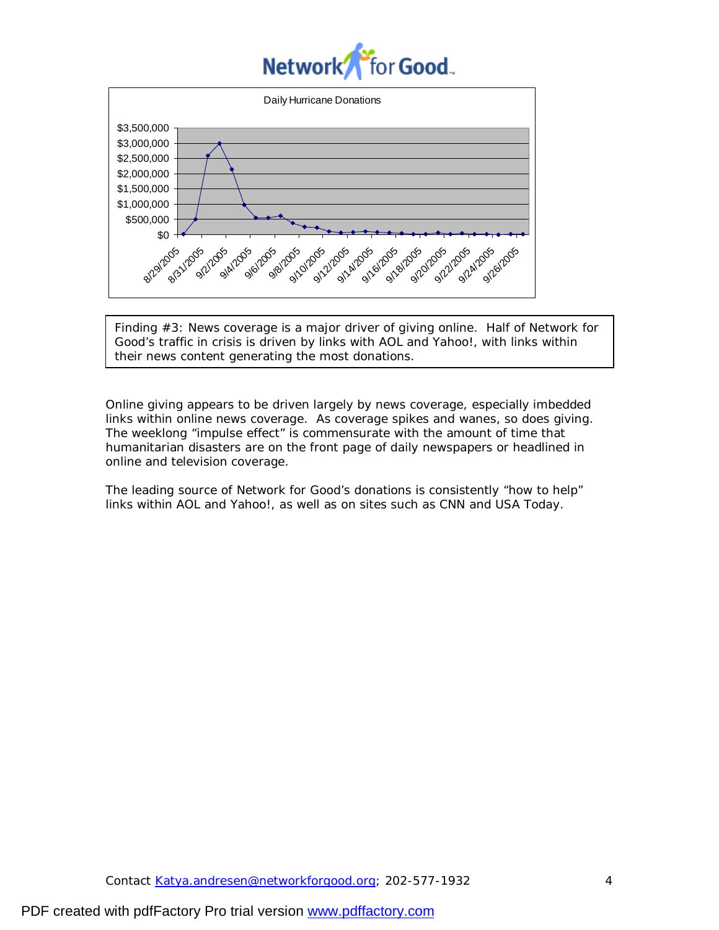## Network for Good.



Finding #3: News coverage is a major driver of giving online. Half of Network for Good's traffic in crisis is driven by links with AOL and Yahoo!, with links within their news content generating the most donations.

Online giving appears to be driven largely by news coverage, especially imbedded links within online news coverage. As coverage spikes and wanes, so does giving. The weeklong "impulse effect" is commensurate with the amount of time that humanitarian disasters are on the front page of daily newspapers or headlined in online and television coverage.

The leading source of Network for Good's donations is consistently "how to help" links within AOL and Yahoo!, as well as on sites such as CNN and USA Today.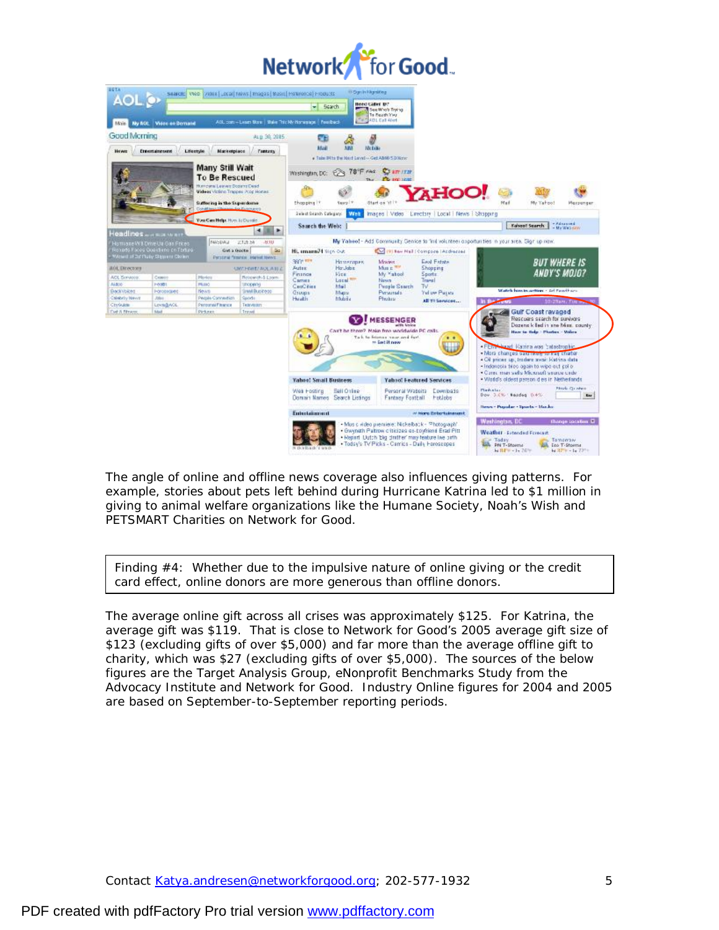| Network <sup>Y</sup> for Good. |  |
|--------------------------------|--|
|--------------------------------|--|



The angle of online and offline news coverage also influences giving patterns. For example, stories about pets left behind during Hurricane Katrina led to \$1 million in giving to animal welfare organizations like the Humane Society, Noah's Wish and PETSMART Charities on Network for Good.

Finding #4: Whether due to the impulsive nature of online giving or the credit card effect, online donors are more generous than offline donors.

The average online gift across all crises was approximately \$125. For Katrina, the average gift was \$119. That is close to Network for Good's 2005 average gift size of \$123 (excluding gifts of over \$5,000) and far more than the average offline gift to charity, which was \$27 (excluding gifts of over \$5,000). The sources of the below figures are the Target Analysis Group, eNonprofit Benchmarks Study from the Advocacy Institute and Network for Good. Industry Online figures for 2004 and 2005 are based on September-to-September reporting periods.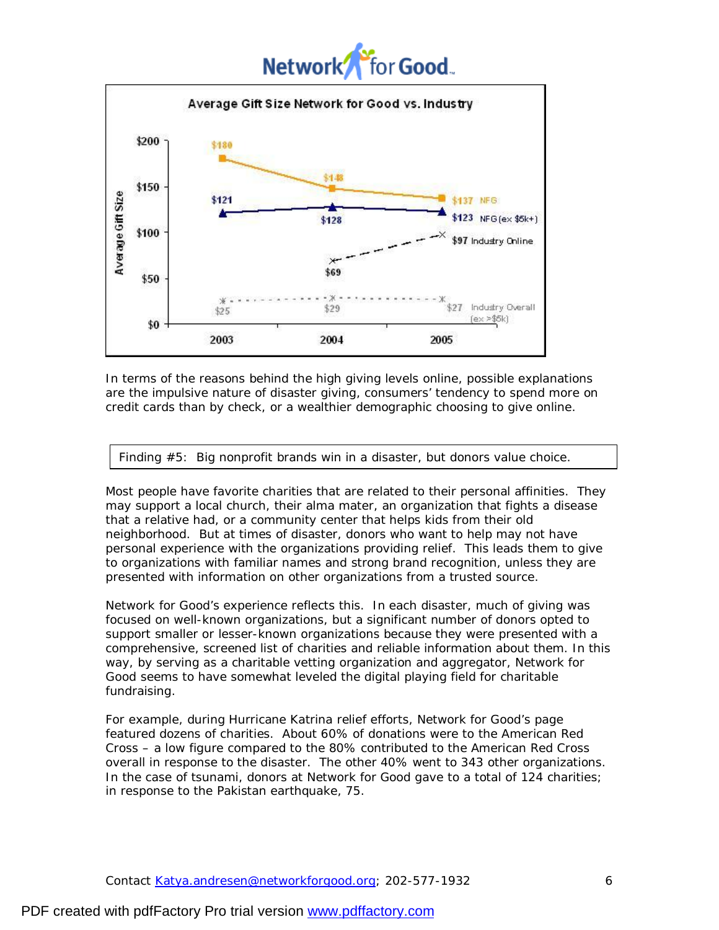## Network<sup>'</sup> or **Good**.



In terms of the reasons behind the high giving levels online, possible explanations are the impulsive nature of disaster giving, consumers' tendency to spend more on credit cards than by check, or a wealthier demographic choosing to give online.

Finding #5: Big nonprofit brands win in a disaster, but donors value choice.

Most people have favorite charities that are related to their personal affinities. They may support a local church, their alma mater, an organization that fights a disease that a relative had, or a community center that helps kids from their old neighborhood. But at times of disaster, donors who want to help may not have personal experience with the organizations providing relief. This leads them to give to organizations with familiar names and strong brand recognition, unless they are presented with information on other organizations from a trusted source.

Network for Good's experience reflects this. In each disaster, much of giving was focused on well-known organizations, but a significant number of donors opted to support smaller or lesser-known organizations because they were presented with a comprehensive, screened list of charities and reliable information about them. In this way, by serving as a charitable vetting organization and aggregator, Network for Good seems to have somewhat leveled the digital playing field for charitable fundraising.

For example, during Hurricane Katrina relief efforts, Network for Good's page featured dozens of charities. About 60% of donations were to the American Red Cross – a low figure compared to the 80% contributed to the American Red Cross overall in response to the disaster. The other 40% went to 343 other organizations. In the case of tsunami, donors at Network for Good gave to a total of 124 charities; in response to the Pakistan earthquake, 75.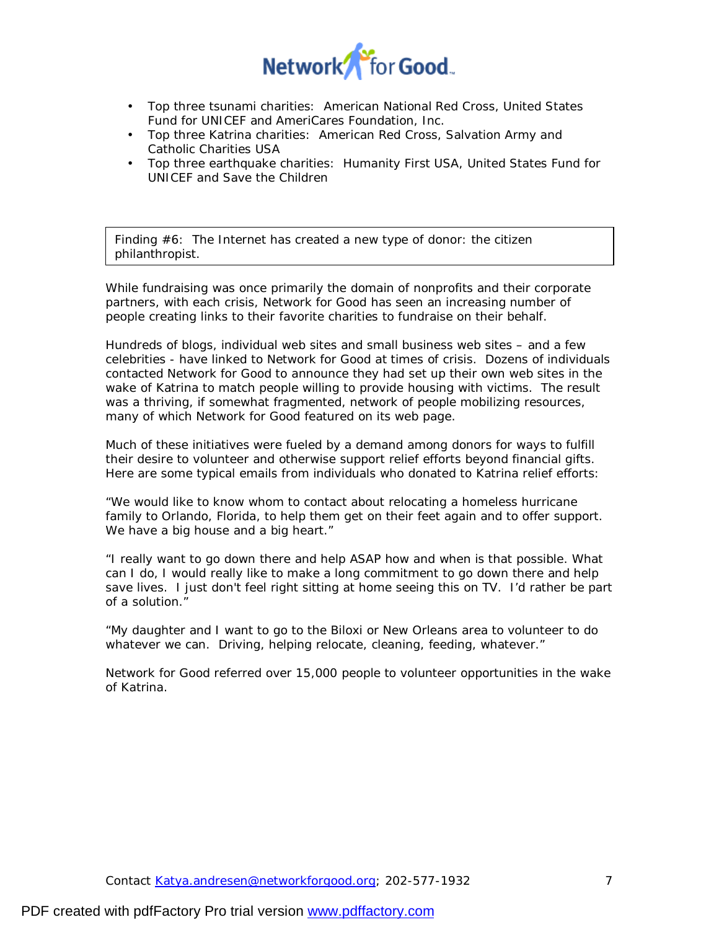

- Top three tsunami charities: American National Red Cross, United States Fund for UNICEF and AmeriCares Foundation, Inc.
- Top three Katrina charities: American Red Cross, Salvation Army and Catholic Charities USA
- Top three earthquake charities: Humanity First USA, United States Fund for UNICEF and Save the Children

Finding #6: The Internet has created a new type of donor: the citizen philanthropist.

While fundraising was once primarily the domain of nonprofits and their corporate partners, with each crisis, Network for Good has seen an increasing number of people creating links to their favorite charities to fundraise on their behalf.

Hundreds of blogs, individual web sites and small business web sites – and a few celebrities - have linked to Network for Good at times of crisis. Dozens of individuals contacted Network for Good to announce they had set up their own web sites in the wake of Katrina to match people willing to provide housing with victims. The result was a thriving, if somewhat fragmented, network of people mobilizing resources, many of which Network for Good featured on its web page.

Much of these initiatives were fueled by a demand among donors for ways to fulfill their desire to volunteer and otherwise support relief efforts beyond financial gifts. Here are some typical emails from individuals who donated to Katrina relief efforts:

*"We would like to know whom to contact about relocating a homeless hurricane family to Orlando, Florida, to help them get on their feet again and to offer support. We have a big house and a big heart."* 

*"I really want to go down there and help ASAP how and when is that possible. What can I do, I would really like to make a long commitment to go down there and help save lives. I just don't feel right sitting at home seeing this on TV. I'd rather be part of a solution."* 

*"My daughter and I want to go to the Biloxi or New Orleans area to volunteer to do whatever we can. Driving, helping relocate, cleaning, feeding, whatever."* 

Network for Good referred over 15,000 people to volunteer opportunities in the wake of Katrina.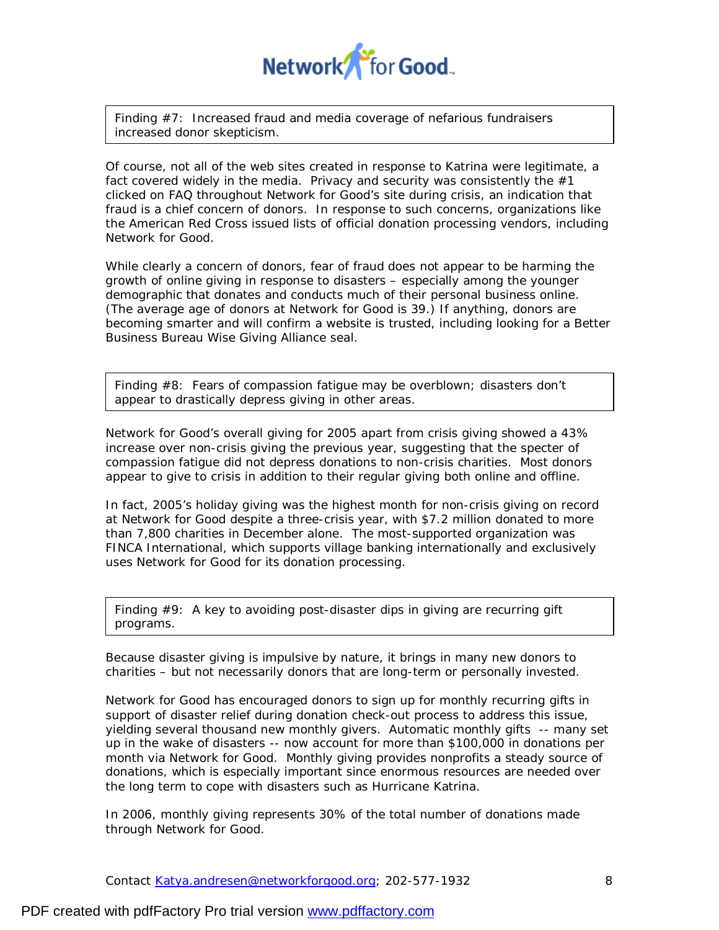

Finding #7: Increased fraud and media coverage of nefarious fundraisers increased donor skepticism.

Of course, not all of the web sites created in response to Katrina were legitimate, a fact covered widely in the media. Privacy and security was consistently the  $#1$ clicked on FAQ throughout Network for Good's site during crisis, an indication that fraud is a chief concern of donors. In response to such concerns, organizations like the American Red Cross issued lists of official donation processing vendors, including Network for Good.

While clearly a concern of donors, fear of fraud does not appear to be harming the growth of online giving in response to disasters – especially among the younger demographic that donates and conducts much of their personal business online. (The average age of donors at Network for Good is 39.) If anything, donors are becoming smarter and will confirm a website is trusted, including looking for a Better Business Bureau Wise Giving Alliance seal.

Finding #8: Fears of compassion fatigue may be overblown; disasters don't appear to drastically depress giving in other areas.

Network for Good's overall giving for 2005 *apart from crisis giving* showed a 43% increase over non-crisis giving the previous year, suggesting that the specter of compassion fatigue did not depress donations to non-crisis charities. Most donors appear to give to crisis in addition to their regular giving both online and offline.

In fact, 2005's holiday giving was the highest month for non-crisis giving on record at Network for Good despite a three-crisis year, with \$7.2 million donated to more than 7,800 charities in December alone. The most-supported organization was FINCA International, which supports village banking internationally and exclusively uses Network for Good for its donation processing.

Finding #9: A key to avoiding post-disaster dips in giving are recurring gift programs.

Because disaster giving is impulsive by nature, it brings in many new donors to charities – but not necessarily donors that are long-term or personally invested.

Network for Good has encouraged donors to sign up for monthly recurring gifts in support of disaster relief during donation check-out process to address this issue, yielding several thousand new monthly givers. Automatic monthly gifts -- many set up in the wake of disasters -- now account for more than \$100,000 in donations per month via Network for Good. Monthly giving provides nonprofits a steady source of donations, which is especially important since enormous resources are needed over the long term to cope with disasters such as Hurricane Katrina.

In 2006, monthly giving represents 30% of the total number of donations made through Network for Good.